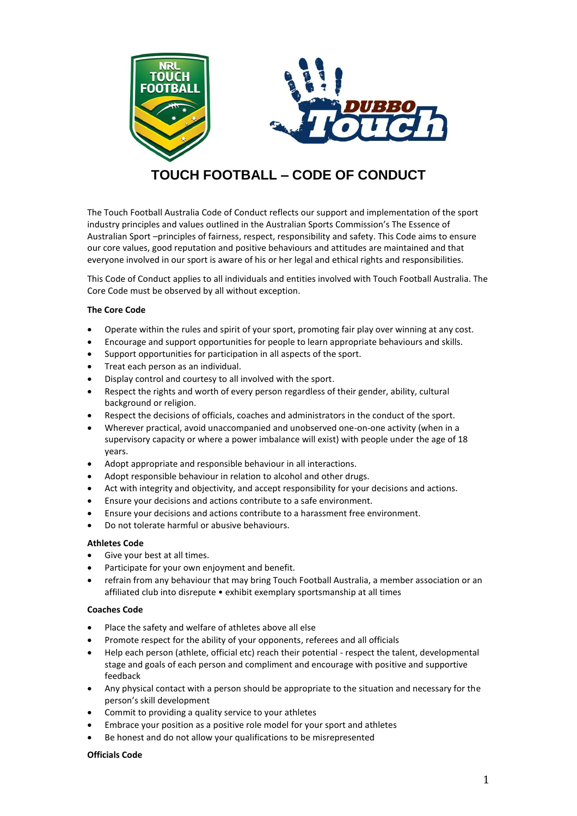

# **TOUCH FOOTBALL – CODE OF CONDUCT**

The Touch Football Australia Code of Conduct reflects our support and implementation of the sport industry principles and values outlined in the Australian Sports Commission's The Essence of Australian Sport –principles of fairness, respect, responsibility and safety. This Code aims to ensure our core values, good reputation and positive behaviours and attitudes are maintained and that everyone involved in our sport is aware of his or her legal and ethical rights and responsibilities.

This Code of Conduct applies to all individuals and entities involved with Touch Football Australia. The Core Code must be observed by all without exception.

# **The Core Code**

- Operate within the rules and spirit of your sport, promoting fair play over winning at any cost.
- Encourage and support opportunities for people to learn appropriate behaviours and skills.
- Support opportunities for participation in all aspects of the sport.
- Treat each person as an individual.
- Display control and courtesy to all involved with the sport.
- Respect the rights and worth of every person regardless of their gender, ability, cultural background or religion.
- Respect the decisions of officials, coaches and administrators in the conduct of the sport.
- Wherever practical, avoid unaccompanied and unobserved one-on-one activity (when in a supervisory capacity or where a power imbalance will exist) with people under the age of 18 years.
- Adopt appropriate and responsible behaviour in all interactions.
- Adopt responsible behaviour in relation to alcohol and other drugs.
- Act with integrity and objectivity, and accept responsibility for your decisions and actions.
- Ensure your decisions and actions contribute to a safe environment.
- Ensure your decisions and actions contribute to a harassment free environment.
- Do not tolerate harmful or abusive behaviours.

#### **Athletes Code**

- Give your best at all times.
- Participate for your own enjoyment and benefit.
- refrain from any behaviour that may bring Touch Football Australia, a member association or an affiliated club into disrepute • exhibit exemplary sportsmanship at all times

#### **Coaches Code**

- Place the safety and welfare of athletes above all else
- Promote respect for the ability of your opponents, referees and all officials
- Help each person (athlete, official etc) reach their potential respect the talent, developmental stage and goals of each person and compliment and encourage with positive and supportive feedback
- Any physical contact with a person should be appropriate to the situation and necessary for the person's skill development
- Commit to providing a quality service to your athletes
- Embrace your position as a positive role model for your sport and athletes
- Be honest and do not allow your qualifications to be misrepresented

#### **Officials Code**